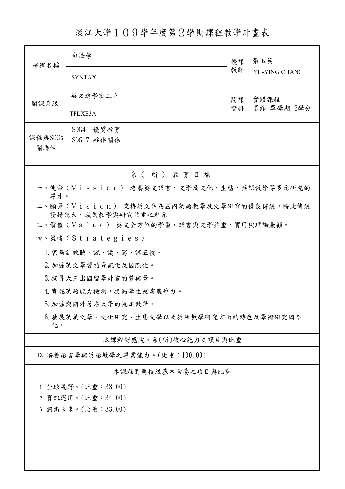淡江大學109學年度第2學期課程教學計畫表

| 課程名稱                                                                   | 句法學                                    |          | 張玉英                |  |  |  |  |
|------------------------------------------------------------------------|----------------------------------------|----------|--------------------|--|--|--|--|
|                                                                        | <b>SYNTAX</b>                          | 教師       | YU-YING CHANG      |  |  |  |  |
| 開課系級                                                                   | 英文進學班三A                                | 開課<br>資料 | 實體課程<br>選修 單學期 2學分 |  |  |  |  |
|                                                                        | TFLXE3A                                |          |                    |  |  |  |  |
| SDG4 優質教育<br>課程與SDGs<br>SDG17 夥伴關係<br>關聯性                              |                                        |          |                    |  |  |  |  |
| 系(所)教育目標                                                               |                                        |          |                    |  |  |  |  |
| 一、使命 (Mission) -培養英文語言、文學及文化、生態、英語教學等多元研究的                             |                                        |          |                    |  |  |  |  |
| 專才。<br>二、願景 (Vision)-秉持英文系為國內英語教學及文學研究的優良傳統,將此傳統<br>發揚光大,成為教學與研究並重之科系。 |                                        |          |                    |  |  |  |  |
|                                                                        | 三、價值 (Value)-英文全方位的學習,語言與文學並重,實用與理論兼顧。 |          |                    |  |  |  |  |
|                                                                        | 四、策略(Strategies)-                      |          |                    |  |  |  |  |
|                                                                        | 1. 密集訓練聽、說、讀、寫、譯五技。                    |          |                    |  |  |  |  |
| 2. 加強英文學習的資訊化及國際化。                                                     |                                        |          |                    |  |  |  |  |
| 3. 提昇大三出國留學計畫的質與量。                                                     |                                        |          |                    |  |  |  |  |
|                                                                        | 4. 實施英語能力檢測,提高學生就業競爭力。                 |          |                    |  |  |  |  |
| 5. 加強與國外著名大學的視訊教學。                                                     |                                        |          |                    |  |  |  |  |
| 6.發展英美文學、文化研究、生態文學以及英語教學研究方面的特色及學術研究國際<br>化。                           |                                        |          |                    |  |  |  |  |
| 本課程對應院、系(所)核心能力之項目與比重                                                  |                                        |          |                    |  |  |  |  |
| D. 培養語言學與英語教學之專業能力。(比重:100.00)                                         |                                        |          |                    |  |  |  |  |
| 本課程對應校級基本素養之項目與比重                                                      |                                        |          |                    |  |  |  |  |
| 1. 全球視野。(比重:33.00)                                                     |                                        |          |                    |  |  |  |  |
| 2. 資訊運用。(比重:34.00)                                                     |                                        |          |                    |  |  |  |  |
| 3. 洞悉未來。(比重:33.00)                                                     |                                        |          |                    |  |  |  |  |
|                                                                        |                                        |          |                    |  |  |  |  |
|                                                                        |                                        |          |                    |  |  |  |  |
|                                                                        |                                        |          |                    |  |  |  |  |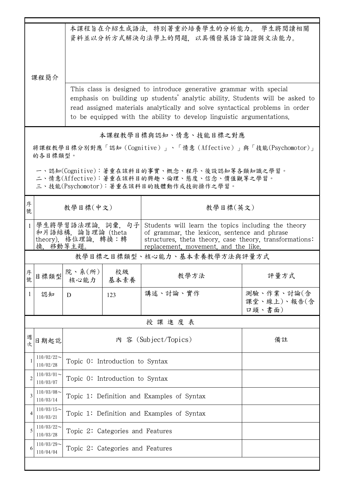|              | 本課程旨在介紹生成語法,特別著重於培養學生的分析能力。 學生將閱讀相關                                                                                                    |                                                                                                                                                                                                                                                                                                               |                                            |                                                                                                                                                                                                        |                                     |  |  |  |  |
|--------------|----------------------------------------------------------------------------------------------------------------------------------------|---------------------------------------------------------------------------------------------------------------------------------------------------------------------------------------------------------------------------------------------------------------------------------------------------------------|--------------------------------------------|--------------------------------------------------------------------------------------------------------------------------------------------------------------------------------------------------------|-------------------------------------|--|--|--|--|
|              | 課程簡介                                                                                                                                   | 資料並以分析方式解決句法學上的問題,以具備發展語言論證與文法能力。                                                                                                                                                                                                                                                                             |                                            |                                                                                                                                                                                                        |                                     |  |  |  |  |
|              |                                                                                                                                        | This class is designed to introduce generative grammar with special<br>emphasis on building up students' analytic ability. Students will be asked to<br>read assigned materials analytically and solve syntactical problems in order<br>to be equipped with the ability to develop linguistic argumentations. |                                            |                                                                                                                                                                                                        |                                     |  |  |  |  |
|              | 本課程教學目標與認知、情意、技能目標之對應                                                                                                                  |                                                                                                                                                                                                                                                                                                               |                                            |                                                                                                                                                                                                        |                                     |  |  |  |  |
|              | 將課程教學目標分別對應「認知(Cognitive)」、「情意(Affective)」與「技能(Psychomotor)」<br>的各目標類型。                                                                |                                                                                                                                                                                                                                                                                                               |                                            |                                                                                                                                                                                                        |                                     |  |  |  |  |
|              | 一、認知(Cognitive):著重在該科目的事實、概念、程序、後設認知等各類知識之學習。<br>二、情意(Affective):著重在該科目的興趣、倫理、態度、信念、價值觀等之學習。<br>三、技能(Psychomotor):著重在該科目的肢體動作或技術操作之學習。 |                                                                                                                                                                                                                                                                                                               |                                            |                                                                                                                                                                                                        |                                     |  |  |  |  |
| 序<br>號       |                                                                                                                                        | 教學目標(中文)                                                                                                                                                                                                                                                                                                      |                                            | 教學目標(英文)                                                                                                                                                                                               |                                     |  |  |  |  |
|              | 換,移動等主題。                                                                                                                               | 學生將學習語法理論,詞彙,句子<br>和片語結構, 論旨理論 (theta<br>theory), 格位理論, 轉換:轉                                                                                                                                                                                                                                                  |                                            | Students will learn the topics including the theory<br>of grammar, the lexicon, sentence and phrase<br>structures, theta theory, case theory, transformations:<br>replacement, movement, and the like. |                                     |  |  |  |  |
|              | 教學目標之目標類型、核心能力、基本素養教學方法與評量方式                                                                                                           |                                                                                                                                                                                                                                                                                                               |                                            |                                                                                                                                                                                                        |                                     |  |  |  |  |
| 序號           |                                                                                                                                        | <sub>目標類型</sub>  院、系(所)                                                                                                                                                                                                                                                                                       | 校級<br>核心能力 基本素養                            | 教學方法                                                                                                                                                                                                   | 評量方式                                |  |  |  |  |
| $\mathbf{1}$ | 認知                                                                                                                                     | D                                                                                                                                                                                                                                                                                                             | 123                                        | 講述、討論、實作                                                                                                                                                                                               | 測驗、作業、討論(含<br>課堂、線上)、報告(含<br>口頭、書面) |  |  |  |  |
|              | 授課進度表                                                                                                                                  |                                                                                                                                                                                                                                                                                                               |                                            |                                                                                                                                                                                                        |                                     |  |  |  |  |
| 週次           | 日期起訖                                                                                                                                   |                                                                                                                                                                                                                                                                                                               | 內 容 (Subject/Topics)<br>備註                 |                                                                                                                                                                                                        |                                     |  |  |  |  |
|              | $110/02/22$ ~<br>110/02/28                                                                                                             |                                                                                                                                                                                                                                                                                                               | Topic 0: Introduction to Syntax            |                                                                                                                                                                                                        |                                     |  |  |  |  |
| 2            | $110/03/01$ ~<br>110/03/07                                                                                                             |                                                                                                                                                                                                                                                                                                               | Topic 0: Introduction to Syntax            |                                                                                                                                                                                                        |                                     |  |  |  |  |
| 3            | $110/03/08$ ~<br>110/03/14                                                                                                             |                                                                                                                                                                                                                                                                                                               | Topic 1: Definition and Examples of Syntax |                                                                                                                                                                                                        |                                     |  |  |  |  |
| 4            | $110/03/15$ ~<br>110/03/21                                                                                                             |                                                                                                                                                                                                                                                                                                               | Topic 1: Definition and Examples of Syntax |                                                                                                                                                                                                        |                                     |  |  |  |  |
| 5            | $110/03/22$ ~<br>110/03/28                                                                                                             |                                                                                                                                                                                                                                                                                                               | Topic 2: Categories and Features           |                                                                                                                                                                                                        |                                     |  |  |  |  |
| 6            | $110/03/29$ ~<br>110/04/04                                                                                                             |                                                                                                                                                                                                                                                                                                               | Topic 2: Categories and Features           |                                                                                                                                                                                                        |                                     |  |  |  |  |
|              |                                                                                                                                        |                                                                                                                                                                                                                                                                                                               |                                            |                                                                                                                                                                                                        |                                     |  |  |  |  |